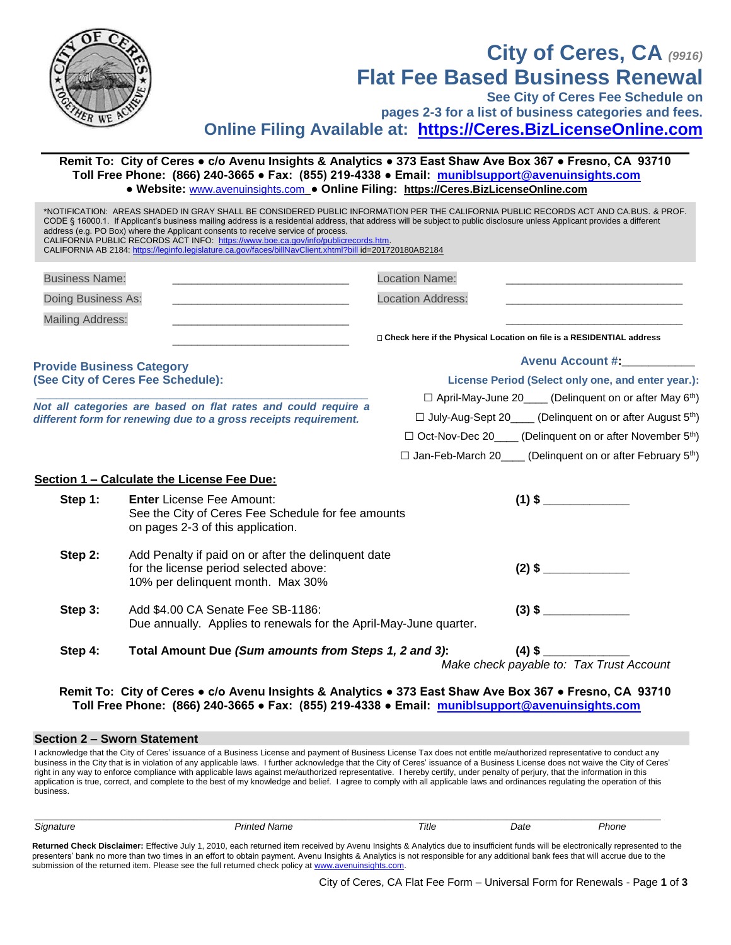

Mailing Address:

**Provide Business Category (See City of Ceres Fee Schedule):** **Check here if the Physical Location on file is a RESIDENTIAL address**

## **Avenu Account #:\_\_\_\_\_\_\_\_\_\_\_**

\_\_\_\_\_\_\_\_\_\_\_\_\_\_\_\_\_\_\_\_\_\_\_\_\_\_\_\_

**License Period (Select only one, and enter year.):**

□ April-May-June 20\_\_\_\_ (Delinquent on or after May 6<sup>th</sup>)

□ July-Aug-Sept 20\_\_\_\_ (Delinquent on or after August 5<sup>th</sup>)

- □ Oct-Nov-Dec 20 (Delinquent on or after November 5<sup>th</sup>)
- □ Jan-Feb-March 20 (Delinquent on or after February 5<sup>th</sup>)

## **Section 1 – Calculate the License Fee Due:**

**\_\_\_\_\_\_\_\_\_\_\_\_\_\_\_\_\_\_\_\_\_\_\_\_\_\_\_\_\_\_\_\_\_\_\_\_\_\_\_\_\_\_\_\_\_\_\_\_\_\_** *Not all categories are based on flat rates and could require a different form for renewing due to a gross receipts requirement.*

| Step 1: | <b>Enter</b> License Fee Amount:<br>See the City of Ceres Fee Schedule for fee amounts<br>on pages 2-3 of this application.        |  |
|---------|------------------------------------------------------------------------------------------------------------------------------------|--|
| Step 2: | Add Penalty if paid on or after the delinguent date<br>for the license period selected above:<br>10% per delinquent month. Max 30% |  |
| Step 3: | Add \$4.00 CA Senate Fee SB-1186:<br>Due annually. Applies to renewals for the April-May-June quarter.                             |  |

**Step 4: Total Amount Due** *(Sum amounts from Steps 1, 2 and 3)***: (4) \$ \_\_\_\_\_\_\_\_\_\_\_\_\_**

\_\_\_\_\_\_\_\_\_\_\_\_\_\_\_\_\_\_\_\_\_\_\_\_\_\_\_\_

*Make check payable to: Tax Trust Account*

**Remit To: City of Ceres ● c/o Avenu Insights & Analytics ● 373 East Shaw Ave Box 367 ● Fresno, CA 93710 Toll Free Phone: (866) 240-3665 ● Fax: (855) 219-4338 ● Email: [muniblsupport@avenuinsights.com](mailto:muniblsupport@avenuinsights.com)**

## **Section 2 – Sworn Statement**

I acknowledge that the City of Ceres' issuance of a Business License and payment of Business License Tax does not entitle me/authorized representative to conduct any business in the City that is in violation of any applicable laws. I further acknowledge that the City of Ceres' issuance of a Business License does not waive the City of Ceres' right in any way to enforce compliance with applicable laws against me/authorized representative. I hereby certify, under penalty of perjury, that the information in this application is true, correct, and complete to the best of my knowledge and belief. I agree to comply with all applicable laws and ordinances regulating the operation of this business.

| $\sim$ | Title | Jate<br>. | none<br>. |
|--------|-------|-----------|-----------|
|        |       |           |           |

**Returned Check Disclaimer:** Effective July 1, 2010, each returned item received by Avenu Insights & Analytics due to insufficient funds will be electronically represented to the presenters' bank no more than two times in an effort to obtain payment. Avenu Insights & Analytics is not responsible for any additional bank fees that will accrue due to the submission of the returned item. Please see the full returned check policy a[t www.avenuinsights.com.](http://www.avenuinsights.com/)

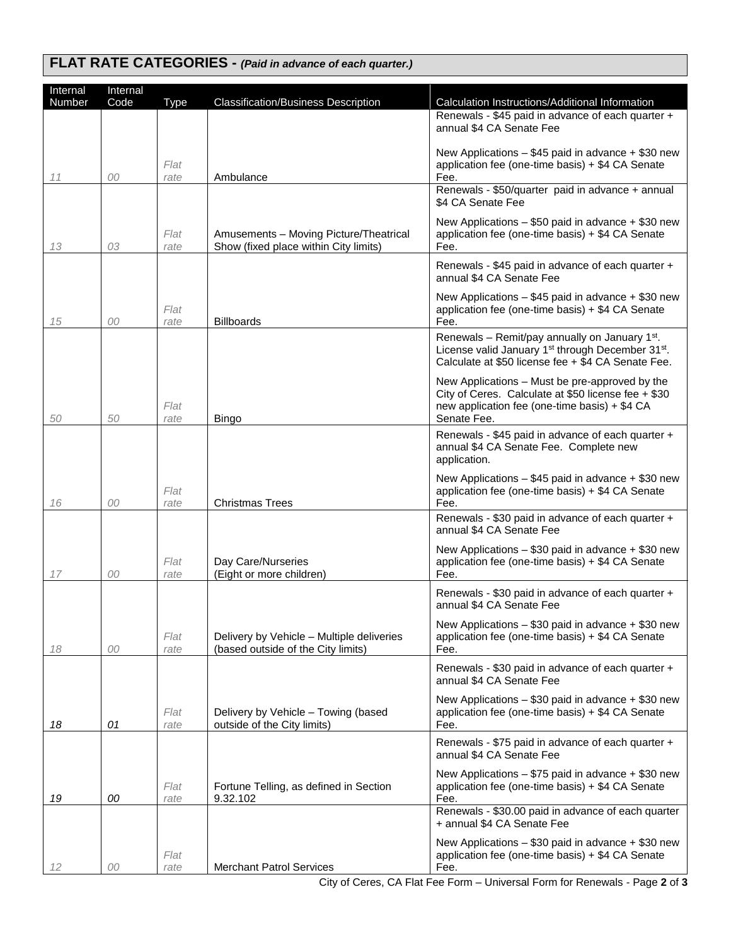## **FLAT RATE CATEGORIES -** *(Paid in advance of each quarter.)*

| Internal | Internal |              |                                                                    |                                                                                                                                         |
|----------|----------|--------------|--------------------------------------------------------------------|-----------------------------------------------------------------------------------------------------------------------------------------|
| Number   | Code     | <b>Type</b>  | <b>Classification/Business Description</b>                         | Calculation Instructions/Additional Information<br>Renewals - \$45 paid in advance of each quarter +                                    |
|          |          |              |                                                                    | annual \$4 CA Senate Fee                                                                                                                |
|          |          |              |                                                                    | New Applications - \$45 paid in advance + \$30 new                                                                                      |
|          |          | Flat         |                                                                    | application fee (one-time basis) + \$4 CA Senate                                                                                        |
| 11       | 00       | rate         | Ambulance                                                          | Fee.<br>Renewals - \$50/quarter paid in advance + annual                                                                                |
|          |          |              |                                                                    | \$4 CA Senate Fee                                                                                                                       |
|          |          |              |                                                                    | New Applications $-$ \$50 paid in advance $+$ \$30 new                                                                                  |
|          |          | Flat         | Amusements - Moving Picture/Theatrical                             | application fee (one-time basis) + \$4 CA Senate                                                                                        |
| 13       | 03       | rate         | Show (fixed place within City limits)                              | Fee.                                                                                                                                    |
|          |          |              |                                                                    | Renewals - \$45 paid in advance of each quarter +<br>annual \$4 CA Senate Fee                                                           |
|          |          |              |                                                                    | New Applications $-$ \$45 paid in advance $+$ \$30 new                                                                                  |
|          |          | Flat         |                                                                    | application fee (one-time basis) + \$4 CA Senate                                                                                        |
| 15       | 00       | rate         | <b>Billboards</b>                                                  | Fee.                                                                                                                                    |
|          |          |              |                                                                    | Renewals - Remit/pay annually on January 1 <sup>st</sup> .<br>License valid January 1 <sup>st</sup> through December 31 <sup>st</sup> . |
|          |          |              |                                                                    | Calculate at \$50 license fee + \$4 CA Senate Fee.                                                                                      |
|          |          |              |                                                                    | New Applications - Must be pre-approved by the                                                                                          |
|          |          |              |                                                                    | City of Ceres. Calculate at \$50 license fee + \$30                                                                                     |
| 50       | 50       | Flat<br>rate | <b>Bingo</b>                                                       | new application fee (one-time basis) + \$4 CA<br>Senate Fee.                                                                            |
|          |          |              |                                                                    | Renewals - \$45 paid in advance of each quarter +                                                                                       |
|          |          |              |                                                                    | annual \$4 CA Senate Fee. Complete new                                                                                                  |
|          |          |              |                                                                    | application.                                                                                                                            |
|          |          | Flat         |                                                                    | New Applications - \$45 paid in advance + \$30 new<br>application fee (one-time basis) + \$4 CA Senate                                  |
| 16       | 00       | rate         | <b>Christmas Trees</b>                                             | Fee.                                                                                                                                    |
|          |          |              |                                                                    | Renewals - \$30 paid in advance of each quarter +<br>annual \$4 CA Senate Fee                                                           |
|          |          |              |                                                                    |                                                                                                                                         |
|          |          | Flat         | Day Care/Nurseries                                                 | New Applications $-$ \$30 paid in advance $+$ \$30 new<br>application fee (one-time basis) + \$4 CA Senate                              |
| 17       | 00       | rate         | (Eight or more children)                                           | Fee.                                                                                                                                    |
|          |          |              |                                                                    | Renewals - \$30 paid in advance of each quarter +                                                                                       |
|          |          |              |                                                                    | annual \$4 CA Senate Fee                                                                                                                |
|          |          | Flat         | Delivery by Vehicle - Multiple deliveries                          | New Applications - \$30 paid in advance + \$30 new<br>application fee (one-time basis) + \$4 CA Senate                                  |
| 18       | 00       | rate         | (based outside of the City limits)                                 | Fee.                                                                                                                                    |
|          |          |              |                                                                    | Renewals - \$30 paid in advance of each quarter +                                                                                       |
|          |          |              |                                                                    | annual \$4 CA Senate Fee                                                                                                                |
|          |          |              |                                                                    | New Applications $-$ \$30 paid in advance $+$ \$30 new                                                                                  |
| 18       | 01       | Flat<br>rate | Delivery by Vehicle - Towing (based<br>outside of the City limits) | application fee (one-time basis) + \$4 CA Senate<br>Fee.                                                                                |
|          |          |              |                                                                    | Renewals - \$75 paid in advance of each quarter +                                                                                       |
|          |          |              |                                                                    | annual \$4 CA Senate Fee                                                                                                                |
|          |          |              |                                                                    | New Applications $-$ \$75 paid in advance $+$ \$30 new                                                                                  |
| 19       | 00       | Flat<br>rate | Fortune Telling, as defined in Section<br>9.32.102                 | application fee (one-time basis) + \$4 CA Senate<br>Fee.                                                                                |
|          |          |              |                                                                    | Renewals - \$30.00 paid in advance of each quarter                                                                                      |
|          |          |              |                                                                    | + annual \$4 CA Senate Fee                                                                                                              |
|          |          |              |                                                                    | New Applications $-$ \$30 paid in advance $+$ \$30 new                                                                                  |
| 12       | 00       | Flat<br>rate | <b>Merchant Patrol Services</b>                                    | application fee (one-time basis) + \$4 CA Senate<br>Fee.                                                                                |